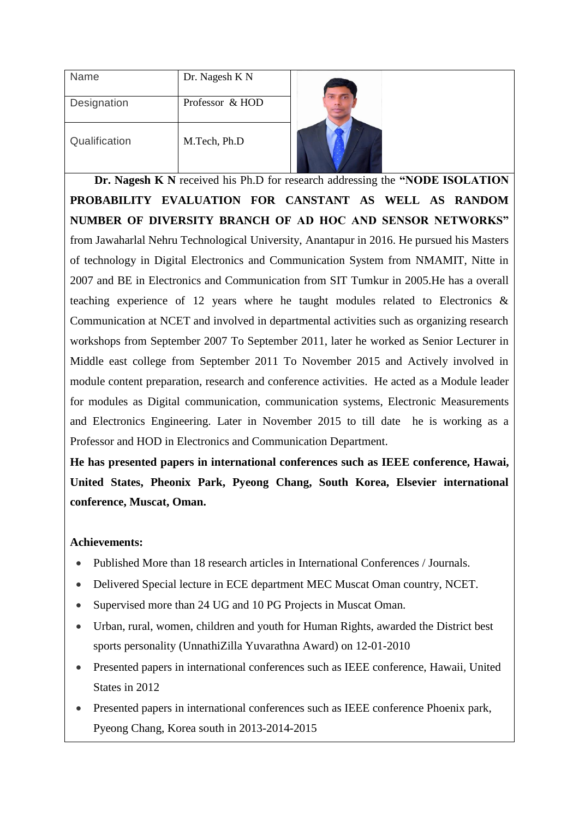| Name          | Dr. Nagesh K N  |  |
|---------------|-----------------|--|
| Designation   | Professor & HOD |  |
| Qualification | M.Tech, Ph.D    |  |

 **Dr. Nagesh K N** received his Ph.D for research addressing the **"NODE ISOLATION PROBABILITY EVALUATION FOR CANSTANT AS WELL AS RANDOM NUMBER OF DIVERSITY BRANCH OF AD HOC AND SENSOR NETWORKS"** from Jawaharlal Nehru Technological University, Anantapur in 2016. He pursued his Masters of technology in Digital Electronics and Communication System from NMAMIT, Nitte in 2007 and BE in Electronics and Communication from SIT Tumkur in 2005.He has a overall teaching experience of 12 years where he taught modules related to Electronics & Communication at NCET and involved in departmental activities such as organizing research workshops from September 2007 To September 2011, later he worked as Senior Lecturer in Middle east college from September 2011 To November 2015 and Actively involved in module content preparation, research and conference activities. He acted as a Module leader for modules as Digital communication, communication systems, Electronic Measurements and Electronics Engineering. Later in November 2015 to till date he is working as a Professor and HOD in Electronics and Communication Department.

**He has presented papers in international conferences such as IEEE conference, Hawai, United States, Pheonix Park, Pyeong Chang, South Korea, Elsevier international conference, Muscat, Oman.**

## **Achievements:**

- Published More than 18 research articles in International Conferences / Journals.
- Delivered Special lecture in ECE department MEC Muscat Oman country, NCET.
- Supervised more than 24 UG and 10 PG Projects in Muscat Oman.
- Urban, rural, women, children and youth for Human Rights, awarded the District best sports personality (UnnathiZilla Yuvarathna Award) on 12-01-2010
- Presented papers in international conferences such as IEEE conference, Hawaii, United States in 2012
- Presented papers in international conferences such as IEEE conference Phoenix park, Pyeong Chang, Korea south in 2013-2014-2015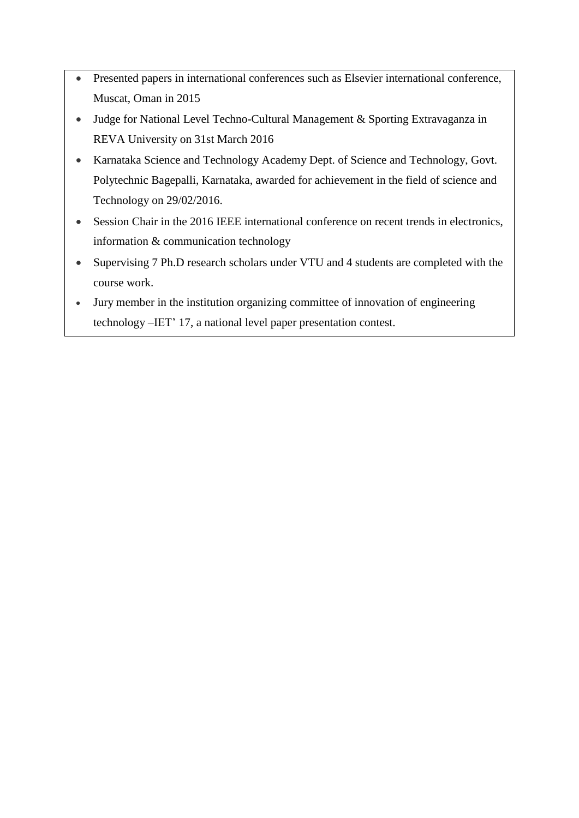- Presented papers in international conferences such as Elsevier international conference, Muscat, Oman in 2015
- Judge for National Level Techno-Cultural Management & Sporting Extravaganza in REVA University on 31st March 2016
- Karnataka Science and Technology Academy Dept. of Science and Technology, Govt. Polytechnic Bagepalli, Karnataka, awarded for achievement in the field of science and Technology on 29/02/2016.
- Session Chair in the 2016 IEEE international conference on recent trends in electronics, information & communication technology
- Supervising 7 Ph.D research scholars under VTU and 4 students are completed with the course work.
- Jury member in the institution organizing committee of innovation of engineering technology –IET' 17, a national level paper presentation contest.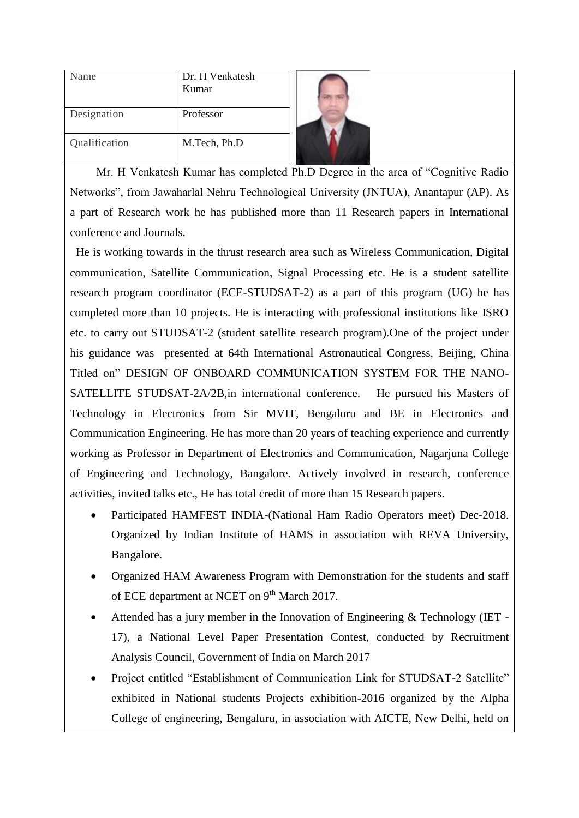| Name          | Dr. H Venkatesh<br>Kumar |  |
|---------------|--------------------------|--|
| Designation   | Professor                |  |
| Qualification | M.Tech, Ph.D             |  |

 Mr. H Venkatesh Kumar has completed Ph.D Degree in the area of "Cognitive Radio Networks", from Jawaharlal Nehru Technological University (JNTUA), Anantapur (AP). As a part of Research work he has published more than 11 Research papers in International conference and Journals.

 He is working towards in the thrust research area such as Wireless Communication, Digital communication, Satellite Communication, Signal Processing etc. He is a student satellite research program coordinator (ECE-STUDSAT-2) as a part of this program (UG) he has completed more than 10 projects. He is interacting with professional institutions like ISRO etc. to carry out STUDSAT-2 (student satellite research program).One of the project under his guidance was presented at 64th International Astronautical Congress, Beijing, China Titled on" DESIGN OF ONBOARD COMMUNICATION SYSTEM FOR THE NANO-SATELLITE STUDSAT-2A/2B,in international conference. He pursued his Masters of Technology in Electronics from Sir MVIT, Bengaluru and BE in Electronics and Communication Engineering. He has more than 20 years of teaching experience and currently working as Professor in Department of Electronics and Communication, Nagarjuna College of Engineering and Technology, Bangalore. Actively involved in research, conference activities, invited talks etc., He has total credit of more than 15 Research papers.

- Participated HAMFEST INDIA-(National Ham Radio Operators meet) Dec-2018. Organized by Indian Institute of HAMS in association with REVA University, Bangalore.
- Organized HAM Awareness Program with Demonstration for the students and staff of ECE department at NCET on 9<sup>th</sup> March 2017.
- Attended has a jury member in the Innovation of Engineering & Technology (IET 17), a National Level Paper Presentation Contest, conducted by Recruitment Analysis Council, Government of India on March 2017
- Project entitled "Establishment of Communication Link for STUDSAT-2 Satellite" exhibited in National students Projects exhibition-2016 organized by the Alpha College of engineering, Bengaluru, in association with AICTE, New Delhi, held on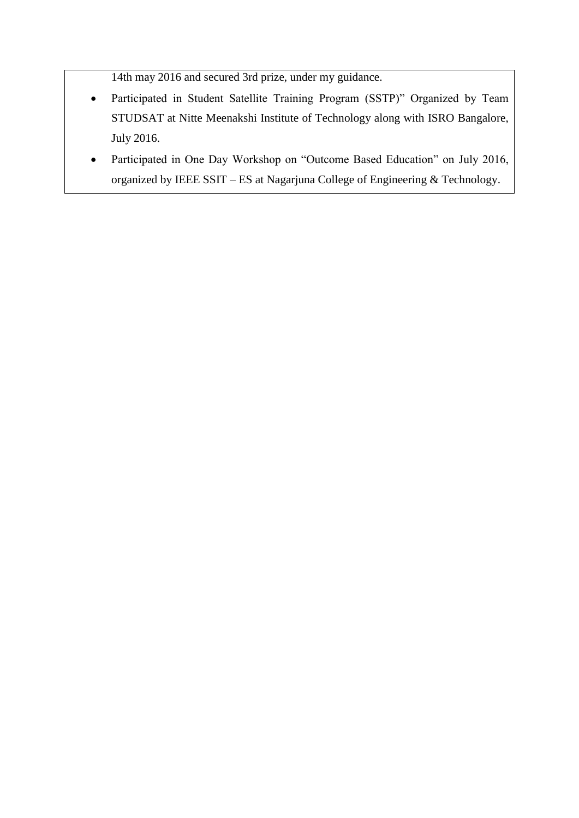14th may 2016 and secured 3rd prize, under my guidance.

- Participated in Student Satellite Training Program (SSTP)" Organized by Team STUDSAT at Nitte Meenakshi Institute of Technology along with ISRO Bangalore, July 2016.
- Participated in One Day Workshop on "Outcome Based Education" on July 2016, organized by IEEE SSIT – ES at Nagarjuna College of Engineering & Technology.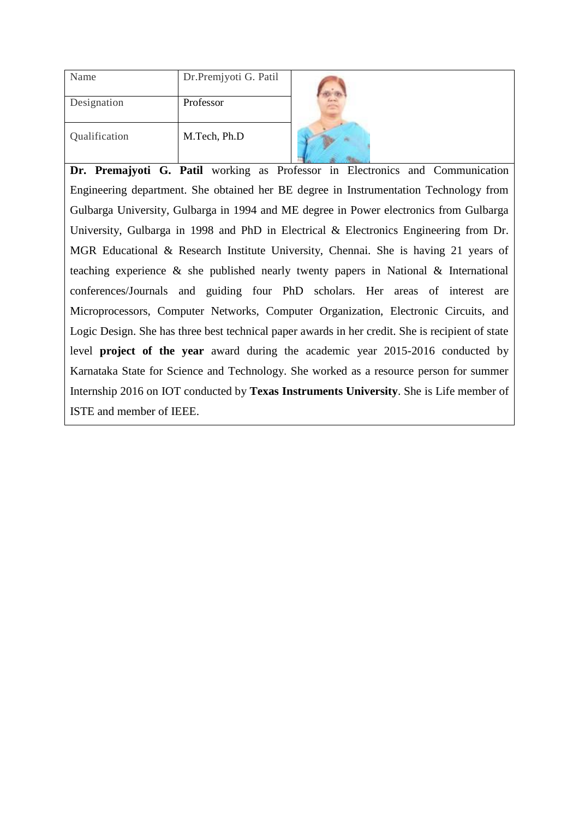| Name          | Dr.Premjyoti G. Patil |
|---------------|-----------------------|
| Designation   | Professor             |
| Qualification | M.Tech, Ph.D          |



**Dr. Premajyoti G. Patil** working as Professor in Electronics and Communication Engineering department. She obtained her BE degree in Instrumentation Technology from Gulbarga University, Gulbarga in 1994 and ME degree in Power electronics from Gulbarga University, Gulbarga in 1998 and PhD in Electrical & Electronics Engineering from Dr. MGR Educational & Research Institute University, Chennai. She is having 21 years of teaching experience & she published nearly twenty papers in National & International conferences/Journals and guiding four PhD scholars. Her areas of interest are Microprocessors, Computer Networks, Computer Organization, Electronic Circuits, and Logic Design. She has three best technical paper awards in her credit. She is recipient of state level **project of the year** award during the academic year 2015-2016 conducted by Karnataka State for Science and Technology. She worked as a resource person for summer Internship 2016 on IOT conducted by **Texas Instruments University**. She is Life member of ISTE and member of IEEE.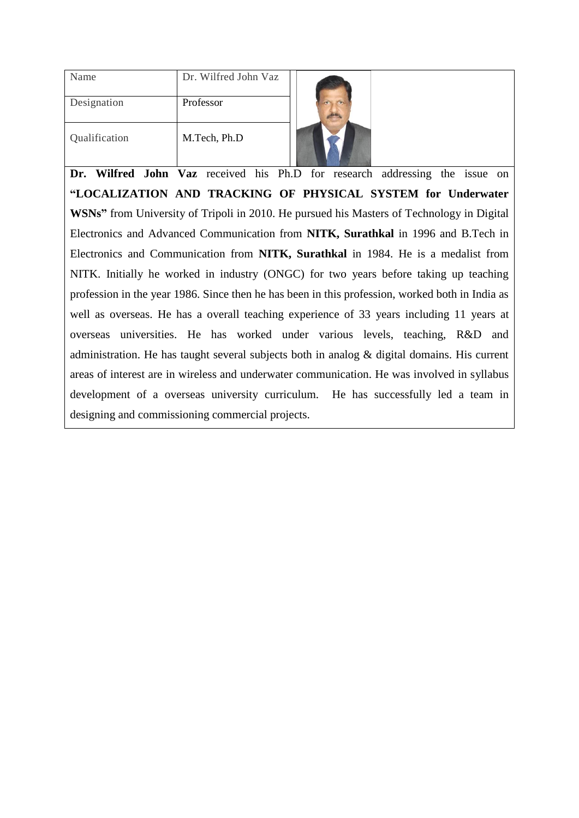| Name          | Dr. Wilfred John Vaz |            |
|---------------|----------------------|------------|
| Designation   | Professor            | <b>TOP</b> |
| Qualification | M.Tech, Ph.D         |            |

**Dr. Wilfred John Vaz** received his Ph.D for research addressing the issue on **"LOCALIZATION AND TRACKING OF PHYSICAL SYSTEM for Underwater WSNs"** from University of Tripoli in 2010. He pursued his Masters of Technology in Digital Electronics and Advanced Communication from **NITK, Surathkal** in 1996 and B.Tech in Electronics and Communication from **NITK, Surathkal** in 1984. He is a medalist from NITK. Initially he worked in industry (ONGC) for two years before taking up teaching profession in the year 1986. Since then he has been in this profession, worked both in India as well as overseas. He has a overall teaching experience of 33 years including 11 years at overseas universities. He has worked under various levels, teaching, R&D and administration. He has taught several subjects both in analog & digital domains. His current areas of interest are in wireless and underwater communication. He was involved in syllabus development of a overseas university curriculum. He has successfully led a team in designing and commissioning commercial projects.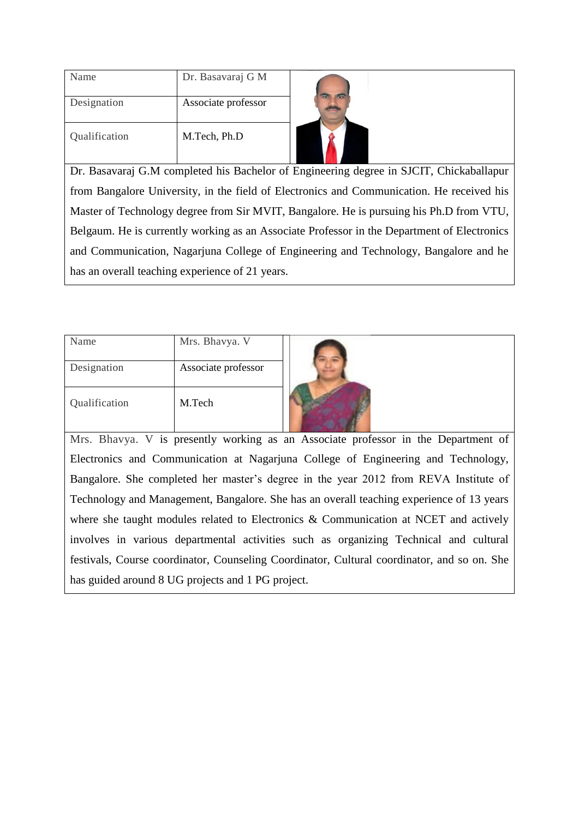| Name          | Dr. Basavaraj G M   |  |
|---------------|---------------------|--|
| Designation   | Associate professor |  |
| Qualification | M.Tech, Ph.D        |  |



Dr. Basavaraj G.M completed his Bachelor of Engineering degree in SJCIT, Chickaballapur from Bangalore University, in the field of Electronics and Communication. He received his Master of Technology degree from Sir MVIT, Bangalore. He is pursuing his Ph.D from VTU, Belgaum. He is currently working as an Associate Professor in the Department of Electronics and Communication, Nagarjuna College of Engineering and Technology, Bangalore and he has an overall teaching experience of 21 years.

| Name          | Mrs. Bhavya. V      |  |
|---------------|---------------------|--|
| Designation   | Associate professor |  |
| Qualification | M.Tech              |  |

Mrs. Bhavya. V is presently working as an Associate professor in the Department of Electronics and Communication at Nagarjuna College of Engineering and Technology, Bangalore. She completed her master's degree in the year 2012 from REVA Institute of Technology and Management, Bangalore. She has an overall teaching experience of 13 years where she taught modules related to Electronics & Communication at NCET and actively involves in various departmental activities such as organizing Technical and cultural festivals, Course coordinator, Counseling Coordinator, Cultural coordinator, and so on. She has guided around 8 UG projects and 1 PG project.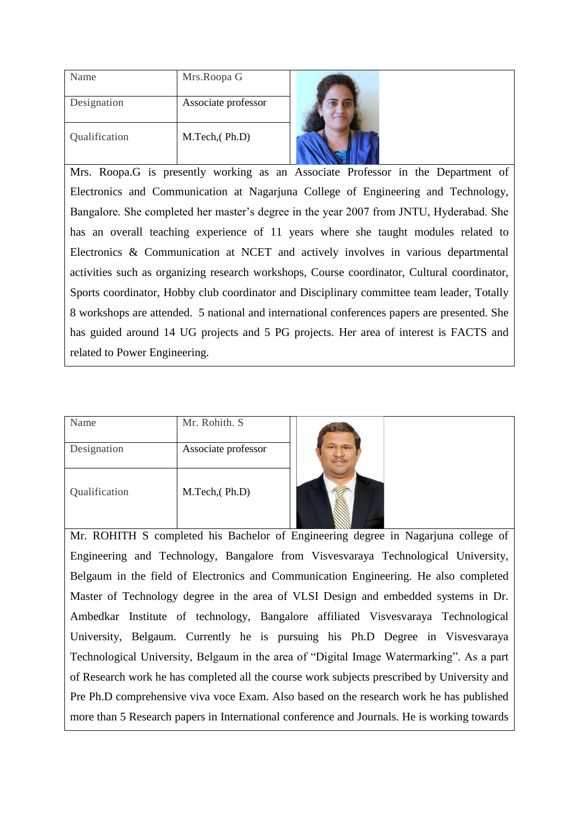| Name          | Mrs.Roopa G         |  |
|---------------|---------------------|--|
| Designation   | Associate professor |  |
| Qualification | M.Tech, (Ph.D)      |  |

Mrs. Roopa.G is presently working as an Associate Professor in the Department of Electronics and Communication at Nagarjuna College of Engineering and Technology, Bangalore. She completed her master's degree in the year 2007 from JNTU, Hyderabad. She has an overall teaching experience of 11 years where she taught modules related to Electronics & Communication at NCET and actively involves in various departmental activities such as organizing research workshops, Course coordinator, Cultural coordinator, Sports coordinator, Hobby club coordinator and Disciplinary committee team leader, Totally 8 workshops are attended. 5 national and international conferences papers are presented. She has guided around 14 UG projects and 5 PG projects. Her area of interest is FACTS and related to Power Engineering.

| Name          | Mr. Rohith. S       |  |
|---------------|---------------------|--|
| Designation   | Associate professor |  |
| Qualification | M.Tech, (Ph.D)      |  |

Mr. ROHITH S completed his Bachelor of Engineering degree in Nagarjuna college of Engineering and Technology, Bangalore from Visvesvaraya Technological University, Belgaum in the field of Electronics and Communication Engineering. He also completed Master of Technology degree in the area of VLSI Design and embedded systems in Dr. Ambedkar Institute of technology, Bangalore affiliated Visvesvaraya Technological University, Belgaum. Currently he is pursuing his Ph.D Degree in Visvesvaraya Technological University, Belgaum in the area of "Digital Image Watermarking". As a part of Research work he has completed all the course work subjects prescribed by University and Pre Ph.D comprehensive viva voce Exam. Also based on the research work he has published more than 5 Research papers in International conference and Journals. He is working towards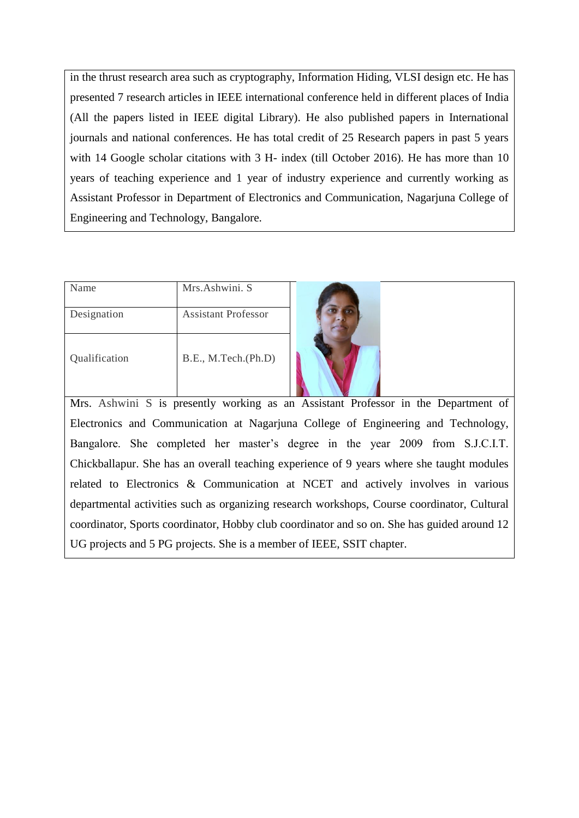in the thrust research area such as cryptography, Information Hiding, VLSI design etc. He has presented 7 research articles in IEEE international conference held in different places of India (All the papers listed in IEEE digital Library). He also published papers in International journals and national conferences. He has total credit of 25 Research papers in past 5 years with 14 Google scholar citations with 3 H- index (till October 2016). He has more than 10 years of teaching experience and 1 year of industry experience and currently working as Assistant Professor in Department of Electronics and Communication, Nagarjuna College of Engineering and Technology, Bangalore.

| Name          | Mrs.Ashwini. S             |  |
|---------------|----------------------------|--|
| Designation   | <b>Assistant Professor</b> |  |
| Qualification | B.E., M.Tech.(Ph.D)        |  |

Mrs. Ashwini S is presently working as an Assistant Professor in the Department of Electronics and Communication at Nagarjuna College of Engineering and Technology, Bangalore. She completed her master's degree in the year 2009 from S.J.C.I.T. Chickballapur. She has an overall teaching experience of 9 years where she taught modules related to Electronics & Communication at NCET and actively involves in various departmental activities such as organizing research workshops, Course coordinator, Cultural coordinator, Sports coordinator, Hobby club coordinator and so on. She has guided around 12 UG projects and 5 PG projects. She is a member of IEEE, SSIT chapter.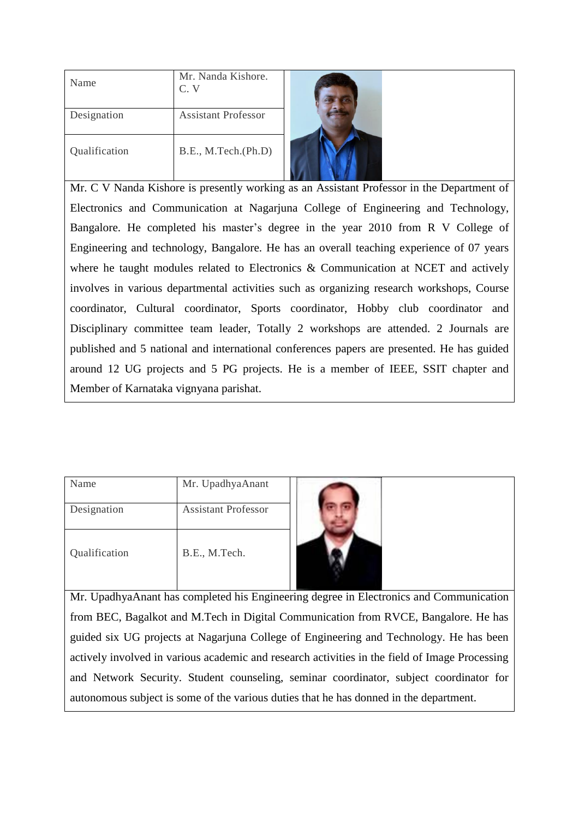| Name          | Mr. Nanda Kishore.<br>$C_{\cdot}$ V |  |
|---------------|-------------------------------------|--|
| Designation   | <b>Assistant Professor</b>          |  |
| Qualification | B.E., M.Tech.(Ph.D)                 |  |

Mr. C V Nanda Kishore is presently working as an Assistant Professor in the Department of Electronics and Communication at Nagarjuna College of Engineering and Technology, Bangalore. He completed his master's degree in the year 2010 from R V College of Engineering and technology, Bangalore. He has an overall teaching experience of 07 years where he taught modules related to Electronics & Communication at NCET and actively involves in various departmental activities such as organizing research workshops, Course coordinator, Cultural coordinator, Sports coordinator, Hobby club coordinator and Disciplinary committee team leader, Totally 2 workshops are attended. 2 Journals are published and 5 national and international conferences papers are presented. He has guided around 12 UG projects and 5 PG projects. He is a member of IEEE, SSIT chapter and Member of Karnataka vignyana parishat.

| Name          | Mr. UpadhyaAnant           |  |
|---------------|----------------------------|--|
| Designation   | <b>Assistant Professor</b> |  |
| Qualification | B.E., M.Tech.              |  |



Mr. UpadhyaAnant has completed his Engineering degree in Electronics and Communication from BEC, Bagalkot and M.Tech in Digital Communication from RVCE, Bangalore. He has guided six UG projects at Nagarjuna College of Engineering and Technology. He has been actively involved in various academic and research activities in the field of Image Processing and Network Security. Student counseling, seminar coordinator, subject coordinator for autonomous subject is some of the various duties that he has donned in the department.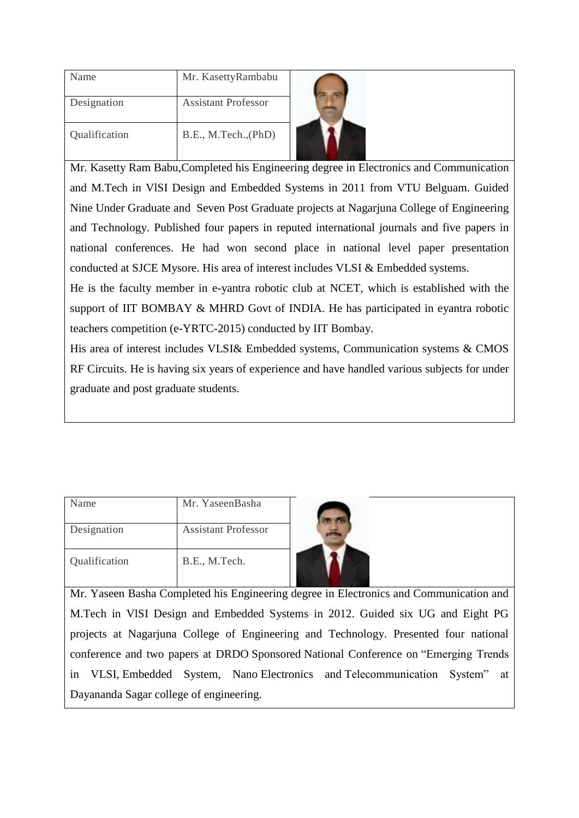| Name          | Mr. KasettyRambabu         |
|---------------|----------------------------|
| Designation   | <b>Assistant Professor</b> |
| Qualification | B.E., M.Tech., (PhD)       |



Mr. Kasetty Ram Babu,Completed his Engineering degree in Electronics and Communication and M.Tech in VlSI Design and Embedded Systems in 2011 from VTU Belguam. Guided Nine Under Graduate and Seven Post Graduate projects at Nagarjuna College of Engineering and Technology. Published four papers in reputed international journals and five papers in national conferences. He had won second place in national level paper presentation conducted at SJCE Mysore. His area of interest includes VLSI & Embedded systems.

He is the faculty member in e-yantra robotic club at NCET, which is established with the support of IIT BOMBAY & MHRD Govt of INDIA. He has participated in eyantra robotic teachers competition (e-YRTC-2015) conducted by IIT Bombay.

His area of interest includes VLSI& Embedded systems, Communication systems & CMOS RF Circuits. He is having six years of experience and have handled various subjects for under graduate and post graduate students.

| Name          | Mr. YaseenBasha     |  |
|---------------|---------------------|--|
| Designation   | Assistant Professor |  |
| Qualification | B.E., M.Tech.       |  |



Mr. Yaseen Basha Completed his Engineering degree in Electronics and Communication and M.Tech in VlSI Design and Embedded Systems in 2012. Guided six UG and Eight PG projects at Nagarjuna College of Engineering and Technology. Presented four national conference and two papers at DRDO Sponsored National Conference on "Emerging Trends in VLSI, Embedded System, Nano Electronics and Telecommunication System" at Dayananda Sagar college of engineering.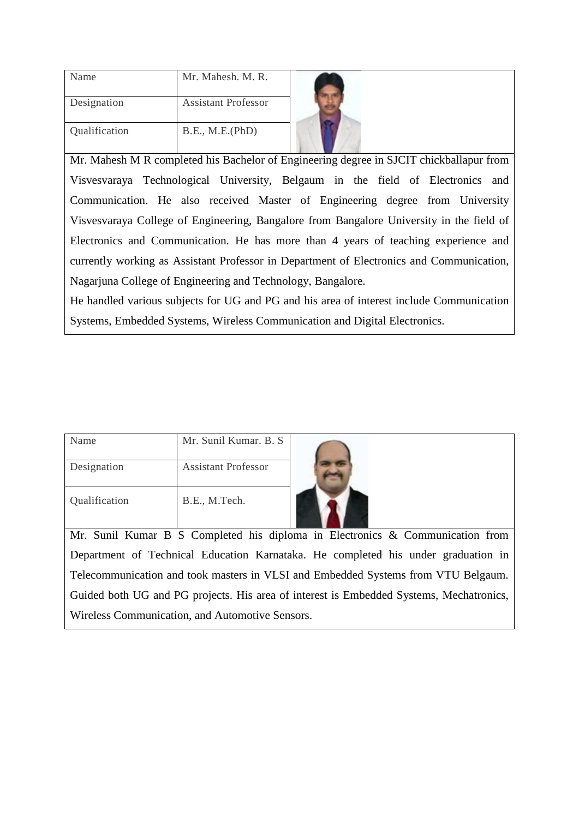| Name          | Mr. Mahesh, M. R.          |  |
|---------------|----------------------------|--|
| Designation   | <b>Assistant Professor</b> |  |
| Qualification | B.E., M.E.(PhD)            |  |



Mr. Mahesh M R completed his Bachelor of Engineering degree in SJCIT chickballapur from Visvesvaraya Technological University, Belgaum in the field of Electronics and Communication. He also received Master of Engineering degree from University Visvesvaraya College of Engineering, Bangalore from Bangalore University in the field of Electronics and Communication. He has more than 4 years of teaching experience and currently working as Assistant Professor in Department of Electronics and Communication, Nagarjuna College of Engineering and Technology, Bangalore.

He handled various subjects for UG and PG and his area of interest include Communication Systems, Embedded Systems, Wireless Communication and Digital Electronics.

| Name          | Mr. Sunil Kumar. B. S.     |  |
|---------------|----------------------------|--|
| Designation   | <b>Assistant Professor</b> |  |
| Qualification | B.E., M.Tech.              |  |

Mr. Sunil Kumar B S Completed his diploma in Electronics & Communication from Department of Technical Education Karnataka. He completed his under graduation in Telecommunication and took masters in VLSI and Embedded Systems from VTU Belgaum. Guided both UG and PG projects. His area of interest is Embedded Systems, Mechatronics, Wireless Communication, and Automotive Sensors.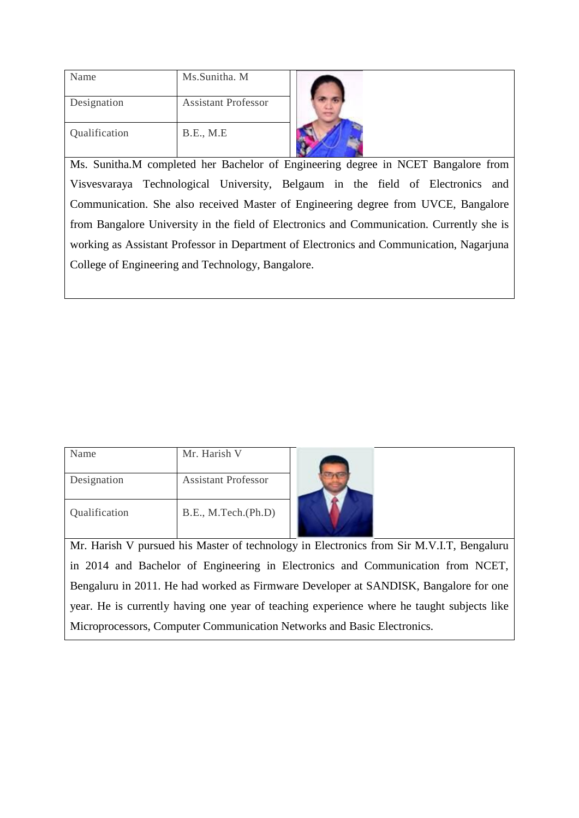| Name          | Ms.Sunitha. M              |
|---------------|----------------------------|
| Designation   | <b>Assistant Professor</b> |
| Qualification | B.E., M.E                  |



Ms. Sunitha.M completed her Bachelor of Engineering degree in NCET Bangalore from Visvesvaraya Technological University, Belgaum in the field of Electronics and Communication. She also received Master of Engineering degree from UVCE, Bangalore from Bangalore University in the field of Electronics and Communication. Currently she is working as Assistant Professor in Department of Electronics and Communication, Nagarjuna College of Engineering and Technology, Bangalore.

| Name          | Mr. Harish V               |  |
|---------------|----------------------------|--|
| Designation   | <b>Assistant Professor</b> |  |
| Qualification | B.E., M.Tech.(Ph.D)        |  |

Mr. Harish V pursued his Master of technology in Electronics from Sir M.V.I.T, Bengaluru in 2014 and Bachelor of Engineering in Electronics and Communication from NCET, Bengaluru in 2011. He had worked as Firmware Developer at SANDISK, Bangalore for one year. He is currently having one year of teaching experience where he taught subjects like Microprocessors, Computer Communication Networks and Basic Electronics.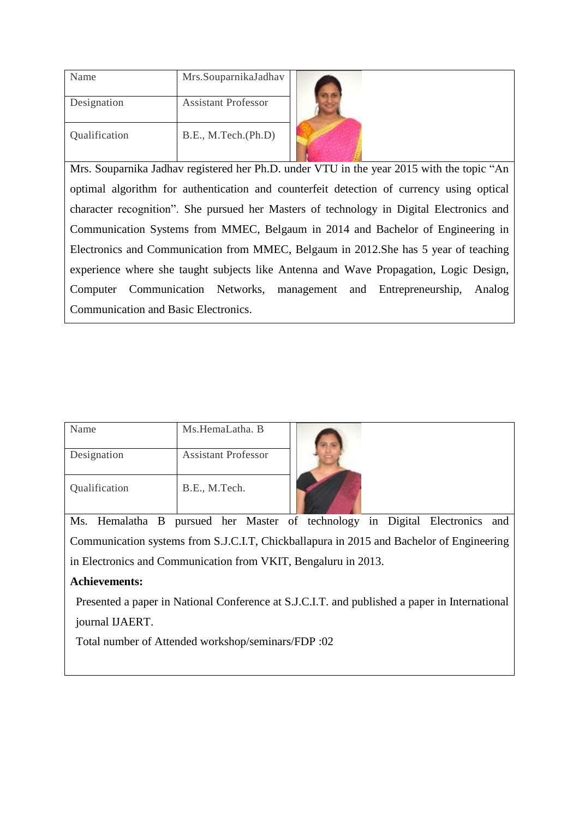| Name          | Mrs.SouparnikaJadhav       |
|---------------|----------------------------|
| Designation   | <b>Assistant Professor</b> |
| Qualification | B.E., M.Tech.(Ph.D)        |



Mrs. Souparnika Jadhav registered her Ph.D. under VTU in the year 2015 with the topic "An optimal algorithm for authentication and counterfeit detection of currency using optical character recognition". She pursued her Masters of technology in Digital Electronics and Communication Systems from MMEC, Belgaum in 2014 and Bachelor of Engineering in Electronics and Communication from MMEC, Belgaum in 2012.She has 5 year of teaching experience where she taught subjects like Antenna and Wave Propagation, Logic Design, Computer Communication Networks, management and Entrepreneurship, Analog Communication and Basic Electronics.

| Name          | Ms.HemaLatha. B            |  |
|---------------|----------------------------|--|
| Designation   | <b>Assistant Professor</b> |  |
| Qualification | B.E., M.Tech.              |  |

Ms. Hemalatha B pursued her Master of technology in Digital Electronics and Communication systems from S.J.C.I.T, Chickballapura in 2015 and Bachelor of Engineering in Electronics and Communication from VKIT, Bengaluru in 2013.

## **Achievements:**

 Presented a paper in National Conference at S.J.C.I.T. and published a paper in International journal IJAERT.

Total number of Attended workshop/seminars/FDP :02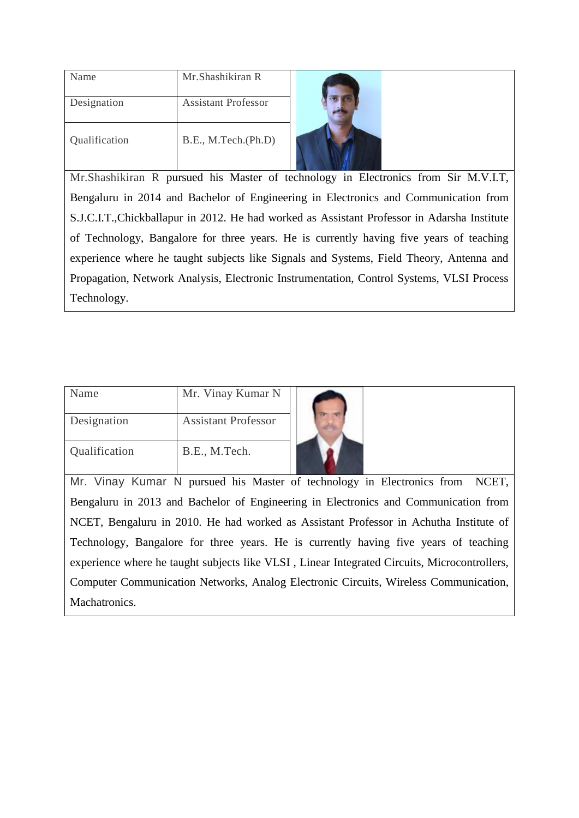| Name          | Mr. Shashikiran R          |  |
|---------------|----------------------------|--|
| Designation   | <b>Assistant Professor</b> |  |
| Qualification | B.E., M.Tech.(Ph.D)        |  |

Mr.Shashikiran R pursued his Master of technology in Electronics from Sir M.V.I.T, Bengaluru in 2014 and Bachelor of Engineering in Electronics and Communication from S.J.C.I.T.,Chickballapur in 2012. He had worked as Assistant Professor in Adarsha Institute of Technology, Bangalore for three years. He is currently having five years of teaching experience where he taught subjects like Signals and Systems, Field Theory, Antenna and Propagation, Network Analysis, Electronic Instrumentation, Control Systems, VLSI Process Technology.

| Name          | Mr. Vinay Kumar N          |  |
|---------------|----------------------------|--|
| Designation   | <b>Assistant Professor</b> |  |
| Qualification | B.E., M.Tech.              |  |

Mr. Vinay Kumar N pursued his Master of technology in Electronics from NCET, Bengaluru in 2013 and Bachelor of Engineering in Electronics and Communication from NCET, Bengaluru in 2010. He had worked as Assistant Professor in Achutha Institute of Technology, Bangalore for three years. He is currently having five years of teaching experience where he taught subjects like VLSI , Linear Integrated Circuits, Microcontrollers, Computer Communication Networks, Analog Electronic Circuits, Wireless Communication, Machatronics.